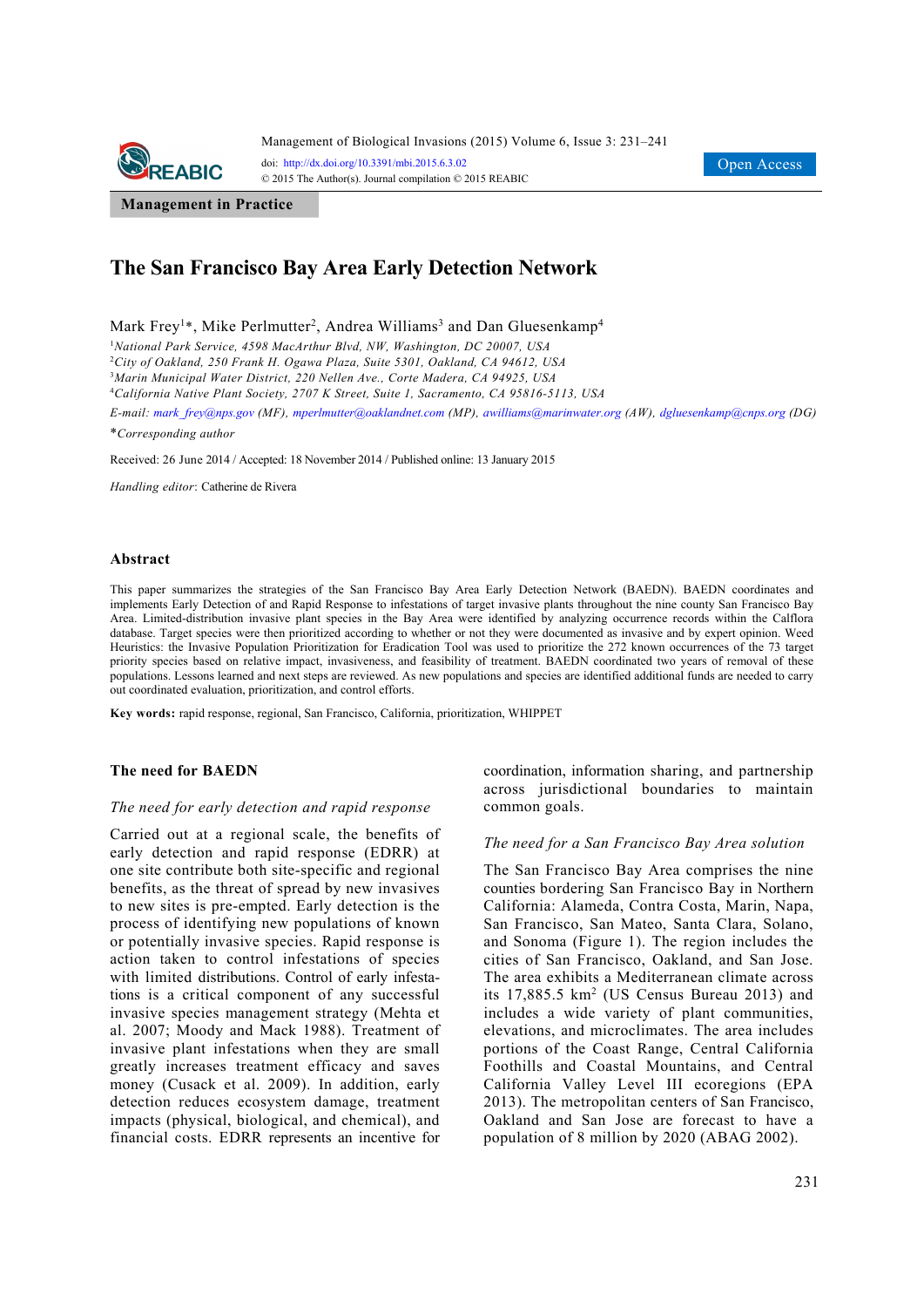

**Management in Practice**

# **The San Francisco Bay Area Early Detection Network**

Mark Frey<sup>1\*</sup>, Mike Perlmutter<sup>2</sup>, Andrea Williams<sup>3</sup> and Dan Gluesenkamp<sup>4</sup>

1 *National Park Service, 4598 MacArthur Blvd, NW, Washington, DC 20007, USA* 

2 *City of Oakland, 250 Frank H. Ogawa Plaza, Suite 5301, Oakland, CA 94612, USA* 

3 *Marin Municipal Water District, 220 Nellen Ave., Corte Madera, CA 94925, USA* 

4 *California Native Plant Society, 2707 K Street, Suite 1, Sacramento, CA 95816-5113, USA* 

*E-mail: mark\_frey@nps.gov (MF), mperlmutter@oaklandnet.com (MP), awilliams@marinwater.org (AW), dgluesenkamp@cnps.org (DG)*

\**Corresponding author* 

Received: 26 June 2014 / Accepted: 18 November 2014 / Published online: 13 January 2015

*Handling editor*: Catherine de Rivera

### **Abstract**

This paper summarizes the strategies of the San Francisco Bay Area Early Detection Network (BAEDN). BAEDN coordinates and implements Early Detection of and Rapid Response to infestations of target invasive plants throughout the nine county San Francisco Bay Area. Limited-distribution invasive plant species in the Bay Area were identified by analyzing occurrence records within the Calflora database. Target species were then prioritized according to whether or not they were documented as invasive and by expert opinion. Weed Heuristics: the Invasive Population Prioritization for Eradication Tool was used to prioritize the 272 known occurrences of the 73 target priority species based on relative impact, invasiveness, and feasibility of treatment. BAEDN coordinated two years of removal of these populations. Lessons learned and next steps are reviewed. As new populations and species are identified additional funds are needed to carry out coordinated evaluation, prioritization, and control efforts.

**Key words:** rapid response, regional, San Francisco, California, prioritization, WHIPPET

### **The need for BAEDN**

### *The need for early detection and rapid response*

Carried out at a regional scale, the benefits of early detection and rapid response (EDRR) at one site contribute both site-specific and regional benefits, as the threat of spread by new invasives to new sites is pre-empted. Early detection is the process of identifying new populations of known or potentially invasive species. Rapid response is action taken to control infestations of species with limited distributions. Control of early infestations is a critical component of any successful invasive species management strategy (Mehta et al. 2007; Moody and Mack 1988). Treatment of invasive plant infestations when they are small greatly increases treatment efficacy and saves money (Cusack et al. 2009). In addition, early detection reduces ecosystem damage, treatment impacts (physical, biological, and chemical), and financial costs. EDRR represents an incentive for coordination, information sharing, and partnership across jurisdictional boundaries to maintain common goals.

### *The need for a San Francisco Bay Area solution*

The San Francisco Bay Area comprises the nine counties bordering San Francisco Bay in Northern California: Alameda, Contra Costa, Marin, Napa, San Francisco, San Mateo, Santa Clara, Solano, and Sonoma (Figure 1). The region includes the cities of San Francisco, Oakland, and San Jose. The area exhibits a Mediterranean climate across its 17,885.5 km2 (US Census Bureau 2013) and includes a wide variety of plant communities, elevations, and microclimates. The area includes portions of the Coast Range, Central California Foothills and Coastal Mountains, and Central California Valley Level III ecoregions (EPA 2013). The metropolitan centers of San Francisco, Oakland and San Jose are forecast to have a population of 8 million by 2020 (ABAG 2002).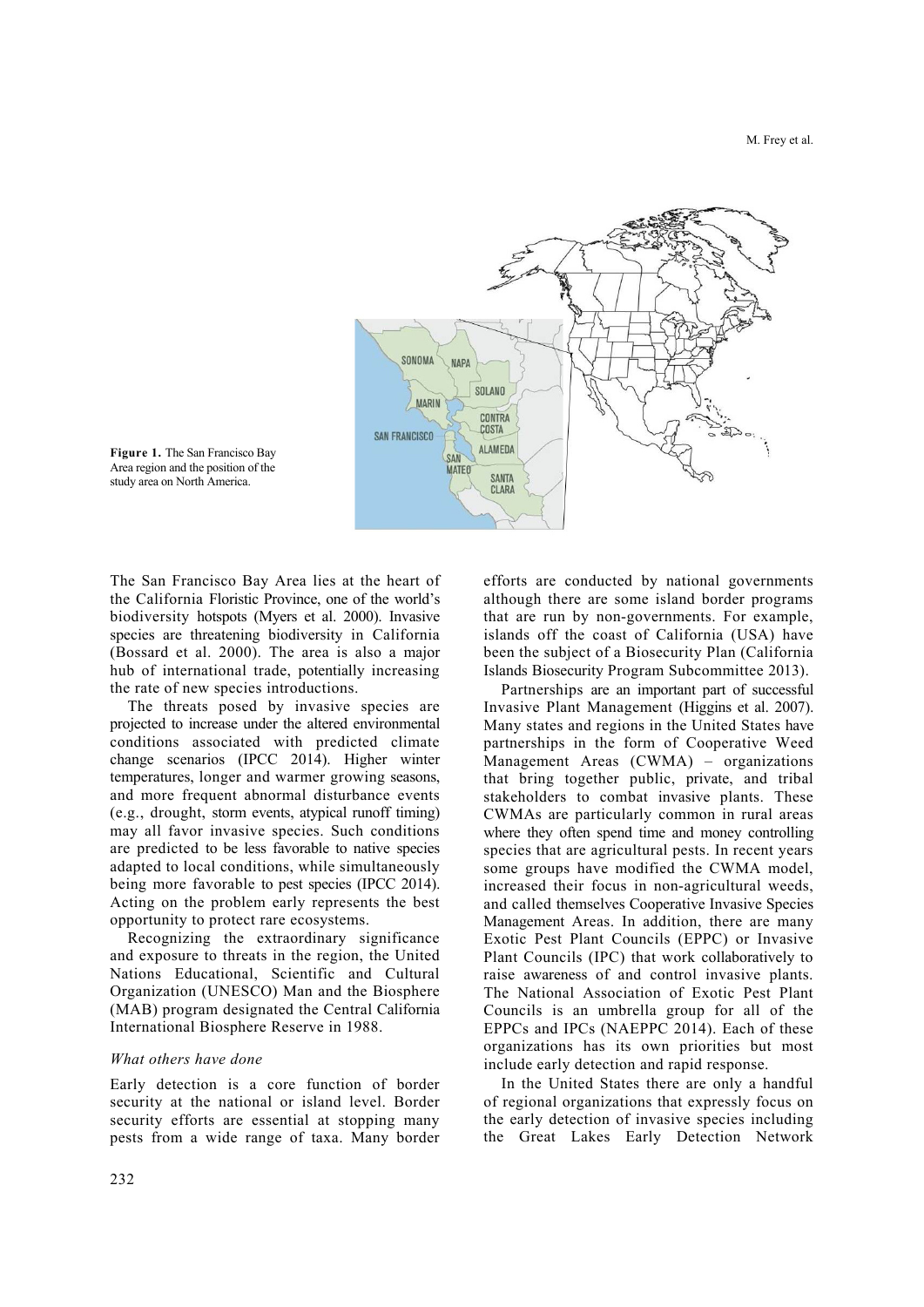



The San Francisco Bay Area lies at the heart of the California Floristic Province, one of the world's biodiversity hotspots (Myers et al. 2000). Invasive species are threatening biodiversity in California (Bossard et al. 2000). The area is also a major hub of international trade, potentially increasing the rate of new species introductions.

The threats posed by invasive species are projected to increase under the altered environmental conditions associated with predicted climate change scenarios (IPCC 2014). Higher winter temperatures, longer and warmer growing seasons, and more frequent abnormal disturbance events (e.g., drought, storm events, atypical runoff timing) may all favor invasive species. Such conditions are predicted to be less favorable to native species adapted to local conditions, while simultaneously being more favorable to pest species (IPCC 2014). Acting on the problem early represents the best opportunity to protect rare ecosystems.

Recognizing the extraordinary significance and exposure to threats in the region, the United Nations Educational, Scientific and Cultural Organization (UNESCO) Man and the Biosphere (MAB) program designated the Central California International Biosphere Reserve in 1988.

### *What others have done*

Early detection is a core function of border security at the national or island level. Border security efforts are essential at stopping many pests from a wide range of taxa. Many border efforts are conducted by national governments although there are some island border programs that are run by non-governments. For example, islands off the coast of California (USA) have been the subject of a Biosecurity Plan (California Islands Biosecurity Program Subcommittee 2013).

Partnerships are an important part of successful Invasive Plant Management (Higgins et al. 2007). Many states and regions in the United States have partnerships in the form of Cooperative Weed Management Areas (CWMA) – organizations that bring together public, private, and tribal stakeholders to combat invasive plants. These CWMAs are particularly common in rural areas where they often spend time and money controlling species that are agricultural pests. In recent years some groups have modified the CWMA model, increased their focus in non-agricultural weeds, and called themselves Cooperative Invasive Species Management Areas. In addition, there are many Exotic Pest Plant Councils (EPPC) or Invasive Plant Councils (IPC) that work collaboratively to raise awareness of and control invasive plants. The National Association of Exotic Pest Plant Councils is an umbrella group for all of the EPPCs and IPCs (NAEPPC 2014). Each of these organizations has its own priorities but most include early detection and rapid response.

In the United States there are only a handful of regional organizations that expressly focus on the early detection of invasive species including the Great Lakes Early Detection Network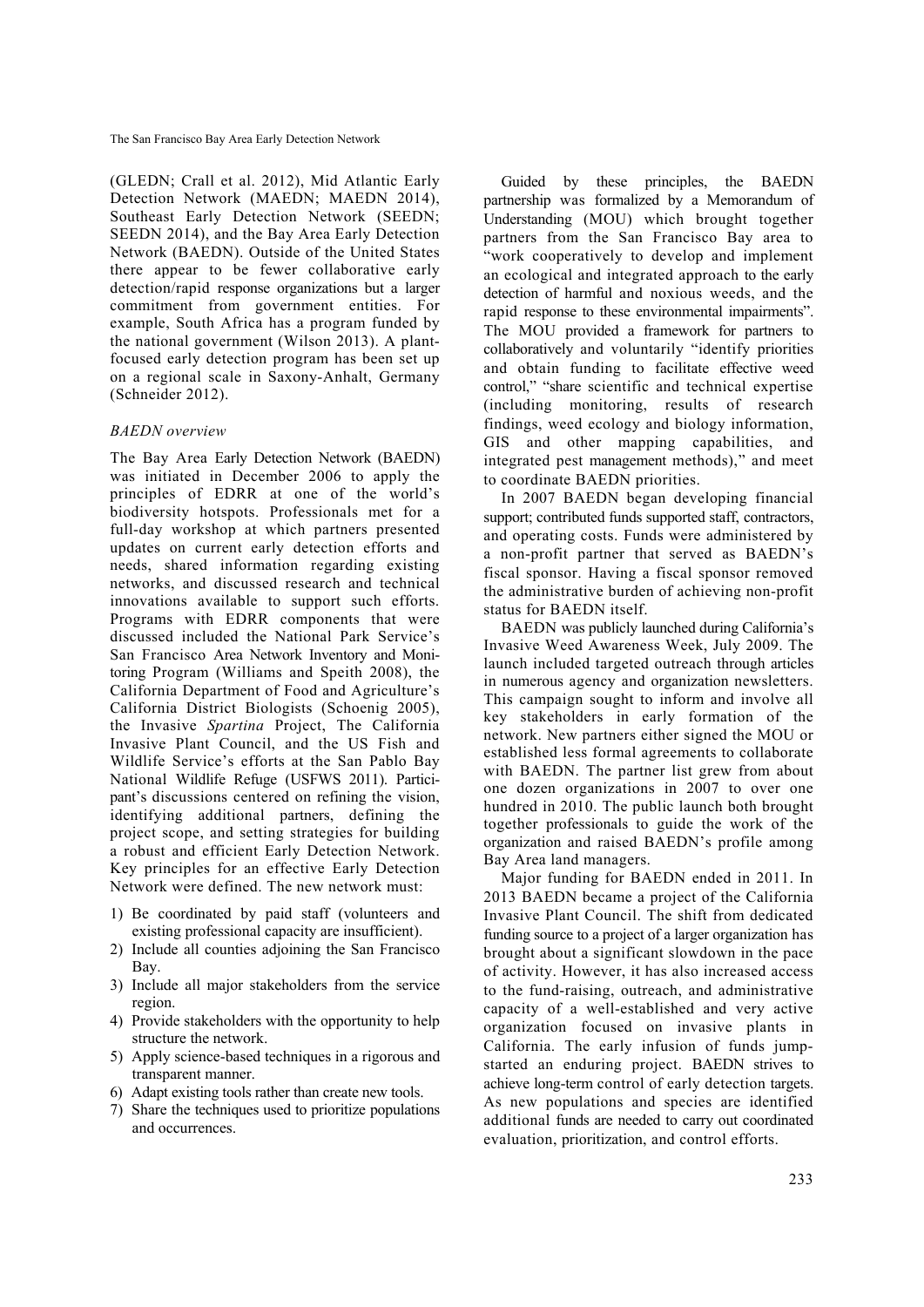(GLEDN; Crall et al. 2012), Mid Atlantic Early Detection Network (MAEDN; MAEDN 2014), Southeast Early Detection Network (SEEDN; SEEDN 2014), and the Bay Area Early Detection Network (BAEDN). Outside of the United States there appear to be fewer collaborative early detection/rapid response organizations but a larger commitment from government entities. For example, South Africa has a program funded by the national government (Wilson 2013). A plantfocused early detection program has been set up on a regional scale in Saxony-Anhalt, Germany (Schneider 2012).

# *BAEDN overview*

The Bay Area Early Detection Network (BAEDN) was initiated in December 2006 to apply the principles of EDRR at one of the world's biodiversity hotspots. Professionals met for a full-day workshop at which partners presented updates on current early detection efforts and needs, shared information regarding existing networks, and discussed research and technical innovations available to support such efforts. Programs with EDRR components that were discussed included the National Park Service's San Francisco Area Network Inventory and Monitoring Program (Williams and Speith 2008), the California Department of Food and Agriculture's California District Biologists (Schoenig 2005), the Invasive *Spartina* Project, The California Invasive Plant Council, and the US Fish and Wildlife Service's efforts at the San Pablo Bay National Wildlife Refuge (USFWS 2011). Participant's discussions centered on refining the vision, identifying additional partners, defining the project scope, and setting strategies for building a robust and efficient Early Detection Network. Key principles for an effective Early Detection Network were defined. The new network must:

- 1)Be coordinated by paid staff (volunteers and existing professional capacity are insufficient).
- 2)Include all counties adjoining the San Francisco Bay.
- 3)Include all major stakeholders from the service region.
- 4)Provide stakeholders with the opportunity to help structure the network.
- 5)Apply science-based techniques in a rigorous and transparent manner.
- 6)Adapt existing tools rather than create new tools.
- 7)Share the techniques used to prioritize populations and occurrences.

Guided by these principles, the BAEDN partnership was formalized by a Memorandum of Understanding (MOU) which brought together partners from the San Francisco Bay area to "work cooperatively to develop and implement an ecological and integrated approach to the early detection of harmful and noxious weeds, and the rapid response to these environmental impairments". The MOU provided a framework for partners to collaboratively and voluntarily "identify priorities and obtain funding to facilitate effective weed control," "share scientific and technical expertise (including monitoring, results of research findings, weed ecology and biology information, GIS and other mapping capabilities, and integrated pest management methods)," and meet to coordinate BAEDN priorities.

In 2007 BAEDN began developing financial support; contributed funds supported staff, contractors, and operating costs. Funds were administered by a non-profit partner that served as BAEDN's fiscal sponsor. Having a fiscal sponsor removed the administrative burden of achieving non-profit status for BAEDN itself.

BAEDN was publicly launched during California's Invasive Weed Awareness Week, July 2009. The launch included targeted outreach through articles in numerous agency and organization newsletters. This campaign sought to inform and involve all key stakeholders in early formation of the network. New partners either signed the MOU or established less formal agreements to collaborate with BAEDN. The partner list grew from about one dozen organizations in 2007 to over one hundred in 2010. The public launch both brought together professionals to guide the work of the organization and raised BAEDN's profile among Bay Area land managers.

Major funding for BAEDN ended in 2011. In 2013 BAEDN became a project of the California Invasive Plant Council. The shift from dedicated funding source to a project of a larger organization has brought about a significant slowdown in the pace of activity. However, it has also increased access to the fund-raising, outreach, and administrative capacity of a well-established and very active organization focused on invasive plants in California. The early infusion of funds jumpstarted an enduring project. BAEDN strives to achieve long-term control of early detection targets. As new populations and species are identified additional funds are needed to carry out coordinated evaluation, prioritization, and control efforts.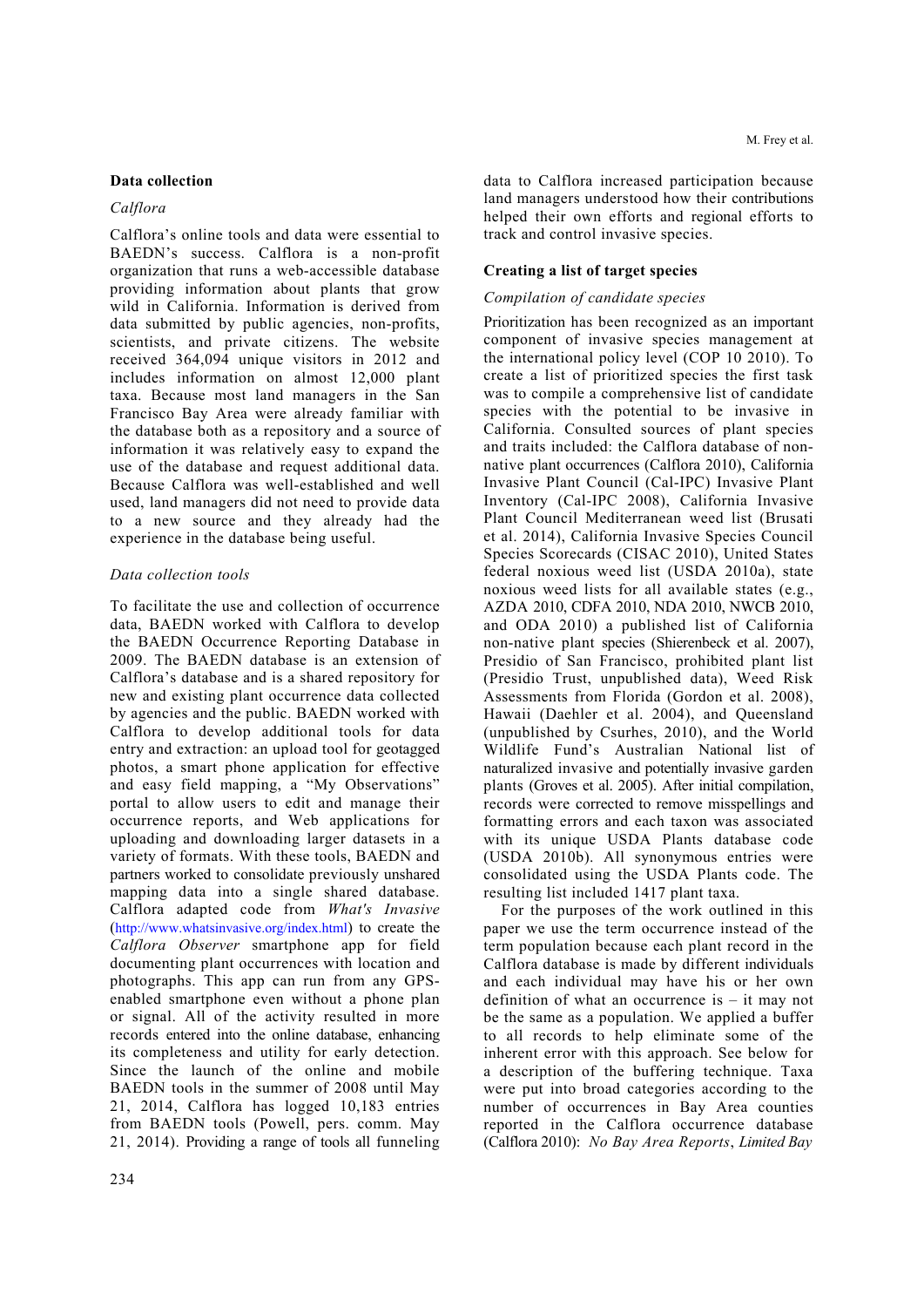# **Data collection**

### *Calflora*

Calflora's online tools and data were essential to BAEDN's success. Calflora is a non-profit organization that runs a web-accessible database providing information about plants that grow wild in California. Information is derived from data submitted by public agencies, non-profits, scientists, and private citizens. The website received 364,094 unique visitors in 2012 and includes information on almost 12,000 plant taxa. Because most land managers in the San Francisco Bay Area were already familiar with the database both as a repository and a source of information it was relatively easy to expand the use of the database and request additional data. Because Calflora was well-established and well used, land managers did not need to provide data to a new source and they already had the experience in the database being useful.

# *Data collection tools*

To facilitate the use and collection of occurrence data, BAEDN worked with Calflora to develop the BAEDN Occurrence Reporting Database in 2009. The BAEDN database is an extension of Calflora's database and is a shared repository for new and existing plant occurrence data collected by agencies and the public. BAEDN worked with Calflora to develop additional tools for data entry and extraction: an upload tool for geotagged photos, a smart phone application for effective and easy field mapping, a "My Observations" portal to allow users to edit and manage their occurrence reports, and Web applications for uploading and downloading larger datasets in a variety of formats. With these tools, BAEDN and partners worked to consolidate previously unshared mapping data into a single shared database. Calflora adapted code from *What's Invasive* (http://www.whatsinvasive.org/index.html) to create the *Calflora Observer* smartphone app for field documenting plant occurrences with location and photographs. This app can run from any GPSenabled smartphone even without a phone plan or signal. All of the activity resulted in more records entered into the online database, enhancing its completeness and utility for early detection. Since the launch of the online and mobile BAEDN tools in the summer of 2008 until May 21, 2014, Calflora has logged 10,183 entries from BAEDN tools (Powell, pers. comm. May 21, 2014). Providing a range of tools all funneling

data to Calflora increased participation because land managers understood how their contributions helped their own efforts and regional efforts to track and control invasive species.

### **Creating a list of target species**

### *Compilation of candidate species*

Prioritization has been recognized as an important component of invasive species management at the international policy level (COP 10 2010). To create a list of prioritized species the first task was to compile a comprehensive list of candidate species with the potential to be invasive in California. Consulted sources of plant species and traits included: the Calflora database of nonnative plant occurrences (Calflora 2010), California Invasive Plant Council (Cal-IPC) Invasive Plant Inventory (Cal-IPC 2008), California Invasive Plant Council Mediterranean weed list (Brusati et al. 2014), California Invasive Species Council Species Scorecards (CISAC 2010), United States federal noxious weed list (USDA 2010a), state noxious weed lists for all available states (e.g., AZDA 2010, CDFA 2010, NDA 2010, NWCB 2010, and ODA 2010) a published list of California non-native plant species (Shierenbeck et al. 2007), Presidio of San Francisco, prohibited plant list (Presidio Trust, unpublished data), Weed Risk Assessments from Florida (Gordon et al. 2008), Hawaii (Daehler et al. 2004), and Queensland (unpublished by Csurhes, 2010), and the World Wildlife Fund's Australian National list of naturalized invasive and potentially invasive garden plants (Groves et al. 2005). After initial compilation, records were corrected to remove misspellings and formatting errors and each taxon was associated with its unique USDA Plants database code (USDA 2010b). All synonymous entries were consolidated using the USDA Plants code. The resulting list included 1417 plant taxa.

For the purposes of the work outlined in this paper we use the term occurrence instead of the term population because each plant record in the Calflora database is made by different individuals and each individual may have his or her own definition of what an occurrence is – it may not be the same as a population. We applied a buffer to all records to help eliminate some of the inherent error with this approach. See below for a description of the buffering technique. Taxa were put into broad categories according to the number of occurrences in Bay Area counties reported in the Calflora occurrence database (Calflora 2010): *No Bay Area Reports*, *Limited Bay*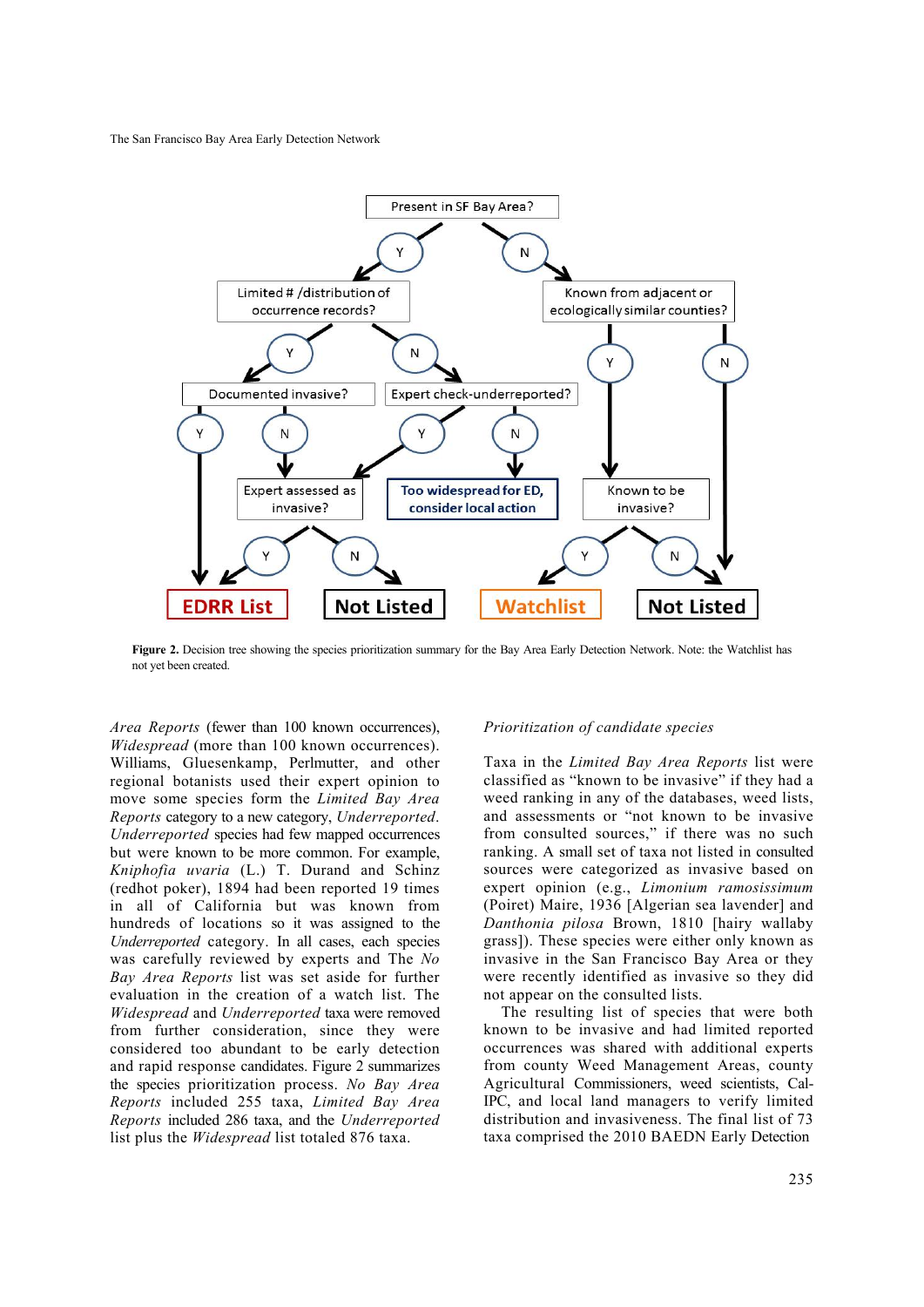

**Figure 2.** Decision tree showing the species prioritization summary for the Bay Area Early Detection Network. Note: the Watchlist has not yet been created.

*Area Reports* (fewer than 100 known occurrences), *Widespread* (more than 100 known occurrences). Williams, Gluesenkamp, Perlmutter, and other regional botanists used their expert opinion to move some species form the *Limited Bay Area Reports* category to a new category, *Underreported*. *Underreported* species had few mapped occurrences but were known to be more common. For example, *Kniphofia uvaria* (L.) T. Durand and Schinz (redhot poker), 1894 had been reported 19 times in all of California but was known from hundreds of locations so it was assigned to the *Underreported* category. In all cases, each species was carefully reviewed by experts and The *No Bay Area Reports* list was set aside for further evaluation in the creation of a watch list. The *Widespread* and *Underreported* taxa were removed from further consideration, since they were considered too abundant to be early detection and rapid response candidates. Figure 2 summarizes the species prioritization process. *No Bay Area Reports* included 255 taxa, *Limited Bay Area Reports* included 286 taxa, and the *Underreported* list plus the *Widespread* list totaled 876 taxa.

### *Prioritization of candidate species*

Taxa in the *Limited Bay Area Reports* list were classified as "known to be invasive" if they had a weed ranking in any of the databases, weed lists, and assessments or "not known to be invasive from consulted sources," if there was no such ranking. A small set of taxa not listed in consulted sources were categorized as invasive based on expert opinion (e.g., *Limonium ramosissimum* (Poiret) Maire, 1936 [Algerian sea lavender] and *Danthonia pilosa* Brown, 1810 [hairy wallaby grass]). These species were either only known as invasive in the San Francisco Bay Area or they were recently identified as invasive so they did not appear on the consulted lists.

The resulting list of species that were both known to be invasive and had limited reported occurrences was shared with additional experts from county Weed Management Areas, county Agricultural Commissioners, weed scientists, Cal-IPC, and local land managers to verify limited distribution and invasiveness. The final list of 73 taxa comprised the 2010 BAEDN Early Detection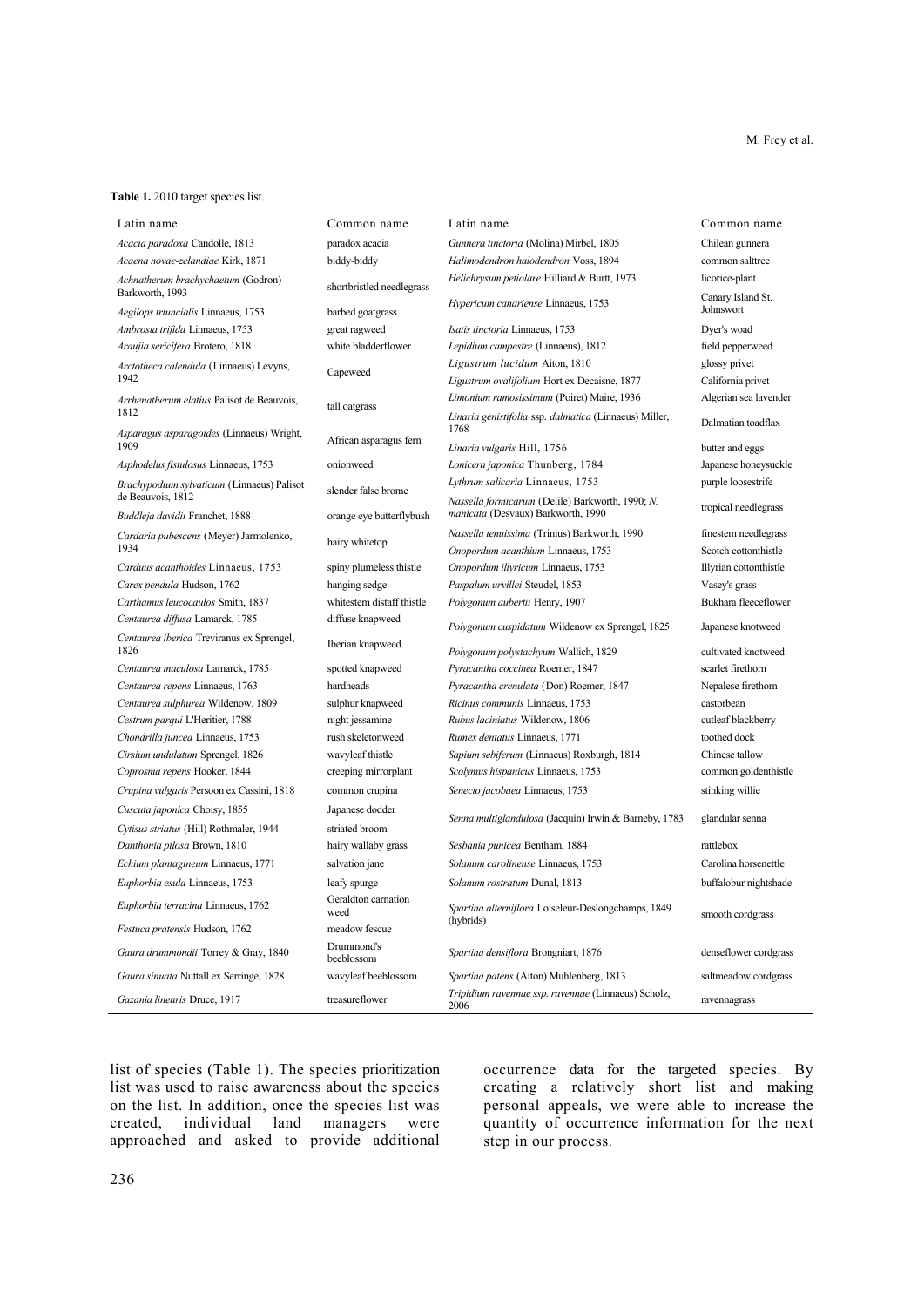#### **Table 1.** 2010 target species list.

| Latin name                                                                   | Common name                 | Latin name                                                       | Common name                         |
|------------------------------------------------------------------------------|-----------------------------|------------------------------------------------------------------|-------------------------------------|
| Acacia paradoxa Candolle, 1813                                               | paradox acacia              | Gunnera tinctoria (Molina) Mirbel, 1805                          | Chilean gunnera                     |
| Acaena novae-zelandiae Kirk, 1871                                            | biddy-biddy                 | Halimodendron halodendron Voss, 1894                             | common salttree                     |
| Achnatherum brachychaetum (Godron)<br>Barkworth, 1993                        | shortbristled needlegrass   | Helichrysum petiolare Hilliard & Burtt, 1973                     | licorice-plant<br>Canary Island St. |
| Aegilops triuncialis Linnaeus, 1753                                          | barbed goatgrass            | Hypericum canariense Linnaeus, 1753                              | Johnswort                           |
| Ambrosia trifida Linnaeus, 1753                                              | great ragweed               | Isatis tinctoria Linnaeus, 1753                                  | Dyer's woad                         |
| Araujia sericifera Brotero, 1818                                             | white bladderflower         | Lepidium campestre (Linnaeus), 1812                              | field pepperweed                    |
| Arctotheca calendula (Linnaeus) Levyns,<br>1942                              | Capeweed                    | Ligustrum lucidum Aiton, 1810                                    | glossy privet                       |
|                                                                              |                             | Ligustrum ovalifolium Hort ex Decaisne, 1877                     | California privet                   |
| Arrhenatherum elatius Palisot de Beauvois,                                   |                             | Limonium ramosissimum (Poiret) Maire, 1936                       | Algerian sea lavender               |
| 1812                                                                         | tall oatgrass               | Linaria genistifolia ssp. dalmatica (Linnaeus) Miller,<br>1768   | Dalmatian toadflax                  |
| Asparagus asparagoides (Linnaeus) Wright,<br>1909                            | African asparagus fern      | Linaria vulgaris Hill, 1756                                      | butter and eggs                     |
| Asphodelus fistulosus Linnaeus, 1753                                         | onionweed                   | Lonicera japonica Thunberg, 1784                                 | Japanese honeysuckle                |
| Brachypodium sylvaticum (Linnaeus) Palisot                                   |                             | Lythrum salicaria Linnaeus, 1753                                 | purple loosestrife                  |
| de Beauvois, 1812                                                            | slender false brome         | Nassella formicarum (Delile) Barkworth, 1990; N.                 |                                     |
| Buddleja davidii Franchet, 1888                                              | orange eye butterflybush    | manicata (Desvaux) Barkworth, 1990                               | tropical needlegrass                |
| Cardaria pubescens (Meyer) Jarmolenko,                                       | hairy whitetop              | Nassella tenuissima (Trinius) Barkworth, 1990                    | finestem needlegrass                |
| 1934                                                                         |                             | Onopordum acanthium Linnaeus, 1753                               | Scotch cottonthistle                |
| Carduus acanthoides Linnaeus, 1753                                           | spiny plumeless thistle     | Onopordum illyricum Linnaeus, 1753                               | Illyrian cottonthistle              |
| Carex pendula Hudson, 1762                                                   | hanging sedge               | Paspalum urvillei Steudel, 1853                                  | Vasey's grass                       |
| Carthamus leucocaulos Smith, 1837                                            | whitestem distaff thistle   | Polygonum aubertii Henry, 1907                                   | Bukhara fleeceflower                |
| Centaurea diffusa Lamarck, 1785<br>Centaurea iberica Treviranus ex Sprengel, | diffuse knapweed            | Polygonum cuspidatum Wildenow ex Sprengel, 1825                  | Japanese knotweed                   |
| 1826                                                                         | Iberian knapweed            | Polygonum polystachyum Wallich, 1829                             | cultivated knotweed                 |
| Centaurea maculosa Lamarck, 1785                                             | spotted knapweed            | Pyracantha coccinea Roemer, 1847                                 | scarlet firethorn                   |
| Centaurea repens Linnaeus, 1763                                              | hardheads                   | Pyracantha crenulata (Don) Roemer, 1847                          | Nepalese firethorn                  |
| Centaurea sulphurea Wildenow, 1809                                           | sulphur knapweed            | Ricinus communis Linnaeus, 1753                                  | castorbean                          |
| Cestrum parqui L'Heritier, 1788                                              | night jessamine             | Rubus laciniatus Wildenow, 1806                                  | cutleaf blackberry                  |
| Chondrilla juncea Linnaeus, 1753                                             | rush skeletonweed           | Rumex dentatus Linnaeus, 1771                                    | toothed dock                        |
| Cirsium undulatum Sprengel, 1826                                             | wavyleaf thistle            | Sapium sebiferum (Linnaeus) Roxburgh, 1814                       | Chinese tallow                      |
| Coprosma repens Hooker, 1844                                                 | creeping mirrorplant        | Scolymus hispanicus Linnaeus, 1753                               | common goldenthistle                |
| Crupina vulgaris Persoon ex Cassini, 1818                                    | common crupina              | Senecio jacobaea Linnaeus, 1753                                  | stinking willie                     |
| Cuscuta japonica Choisy, 1855                                                | Japanese dodder             | Senna multiglandulosa (Jacquin) Irwin & Barneby, 1783            | glandular senna                     |
| Cytisus striatus (Hill) Rothmaler, 1944                                      | striated broom              |                                                                  |                                     |
| Danthonia pilosa Brown, 1810                                                 | hairy wallaby grass         | Sesbania punicea Bentham, 1884                                   | rattlebox                           |
| Echium plantagineum Linnaeus, 1771                                           | salvation jane              | Solanum carolinense Linnaeus, 1753                               | Carolina horsenettle                |
| Euphorbia esula Linnaeus, 1753                                               | leafy spurge                | Solanum rostratum Dunal, 1813                                    | buffalobur nightshade               |
| <i>Euphorbia terracina</i> Linnaeus, 1762                                    | Geraldton carnation<br>weed | Spartina alterniflora Loiseleur-Deslongchamps, 1849<br>(hybrids) | smooth cordgrass                    |
| Festuca pratensis Hudson, 1762                                               | meadow fescue               |                                                                  |                                     |
| Gaura drummondii Torrey & Gray, 1840                                         | Drummond's<br>beeblossom    | Spartina densiflora Brongniart, 1876                             | denseflower cordgrass               |
| <i>Gaura sinuata</i> Nuttall ex Serringe, 1828                               | wavyleaf beeblossom         | <i>Spartina patens</i> (Aiton) Muhlenberg, 1813                  | saltmeadow cordgrass                |
| Gazania linearis Druce, 1917                                                 | treasureflower              | Tripidium ravennae ssp. ravennae (Linnaeus) Scholz,<br>2006      | ravennagrass                        |

list of species (Table 1). The species prioritization list was used to raise awareness about the species on the list. In addition, once the species list was created, individual land managers were created, individual land managers were approached and asked to provide additional

occurrence data for the targeted species. By creating a relatively short list and making personal appeals, we were able to increase the quantity of occurrence information for the next step in our process.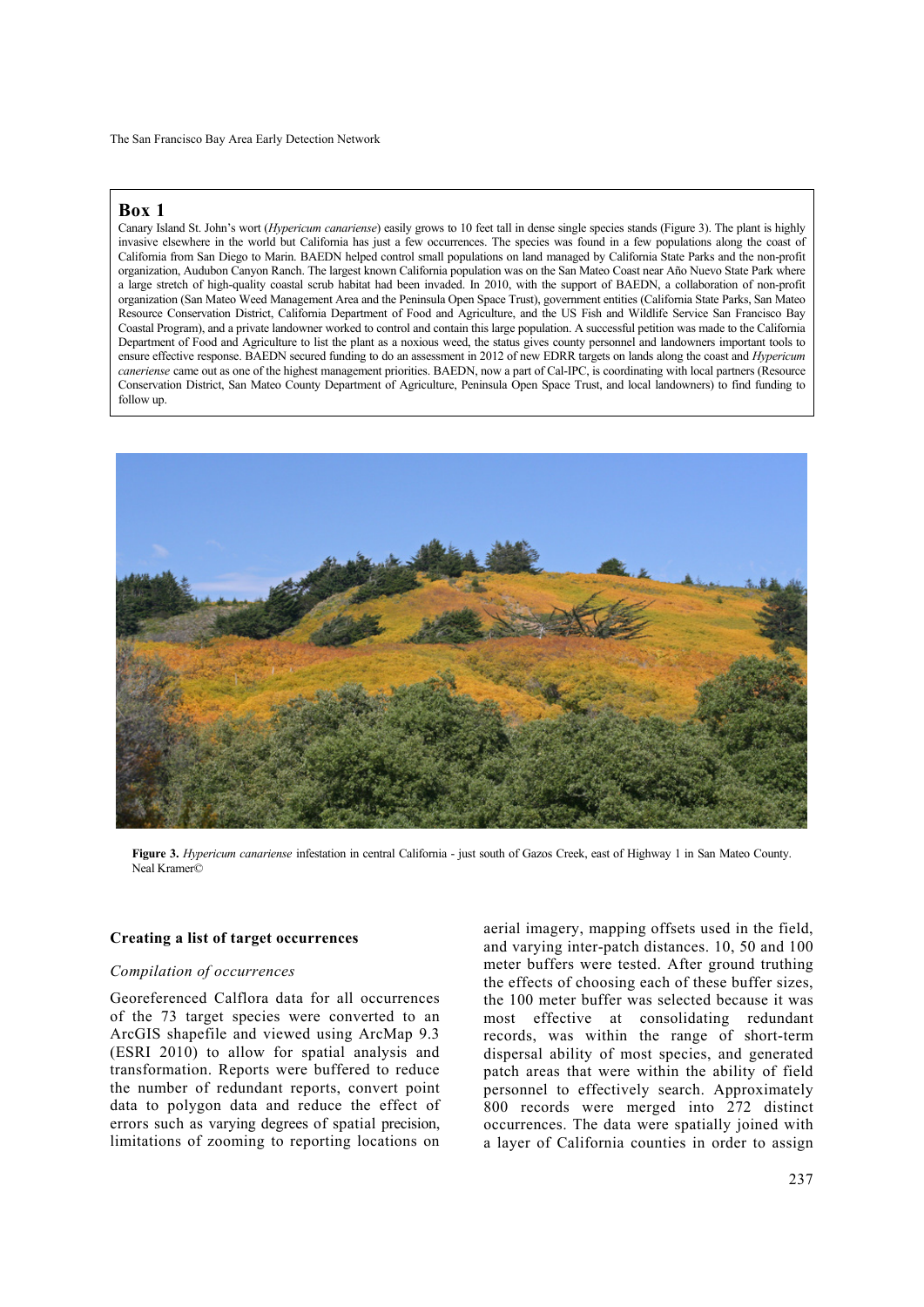# **Box 1**

 $\overline{\phantom{a}}$ 

Canary Island St. John's wort (*Hypericum canariense*) easily grows to 10 feet tall in dense single species stands (Figure 3). The plant is highly invasive elsewhere in the world but California has just a few occurrences. The species was found in a few populations along the coast of California from San Diego to Marin. BAEDN helped control small populations on land managed by California State Parks and the non-profit organization, Audubon Canyon Ranch. The largest known California population was on the San Mateo Coast near Año Nuevo State Park where a large stretch of high-quality coastal scrub habitat had been invaded. In 2010, with the support of BAEDN, a collaboration of non-profit organization (San Mateo Weed Management Area and the Peninsula Open Space Trust), government entities (California State Parks, San Mateo Resource Conservation District, California Department of Food and Agriculture, and the US Fish and Wildlife Service San Francisco Bay Coastal Program), and a private landowner worked to control and contain this large population. A successful petition was made to the California Department of Food and Agriculture to list the plant as a noxious weed, the status gives county personnel and landowners important tools to ensure effective response. BAEDN secured funding to do an assessment in 2012 of new EDRR targets on lands along the coast and *Hypericum caneriense* came out as one of the highest management priorities. BAEDN, now a part of Cal-IPC, is coordinating with local partners (Resource Conservation District, San Mateo County Department of Agriculture, Peninsula Open Space Trust, and local landowners) to find funding to follow up.



**Figure 3.** *Hypericum canariense* infestation in central California - just south of Gazos Creek, east of Highway 1 in San Mateo County. Neal Kramer©

### **Creating a list of target occurrences**

### *Compilation of occurrences*

Georeferenced Calflora data for all occurrences of the 73 target species were converted to an ArcGIS shapefile and viewed using ArcMap 9.3 (ESRI 2010) to allow for spatial analysis and transformation. Reports were buffered to reduce the number of redundant reports, convert point data to polygon data and reduce the effect of errors such as varying degrees of spatial precision, limitations of zooming to reporting locations on aerial imagery, mapping offsets used in the field, and varying inter-patch distances. 10, 50 and 100 meter buffers were tested. After ground truthing the effects of choosing each of these buffer sizes, the 100 meter buffer was selected because it was most effective at consolidating redundant records, was within the range of short-term dispersal ability of most species, and generated patch areas that were within the ability of field personnel to effectively search. Approximately 800 records were merged into 272 distinct occurrences. The data were spatially joined with a layer of California counties in order to assign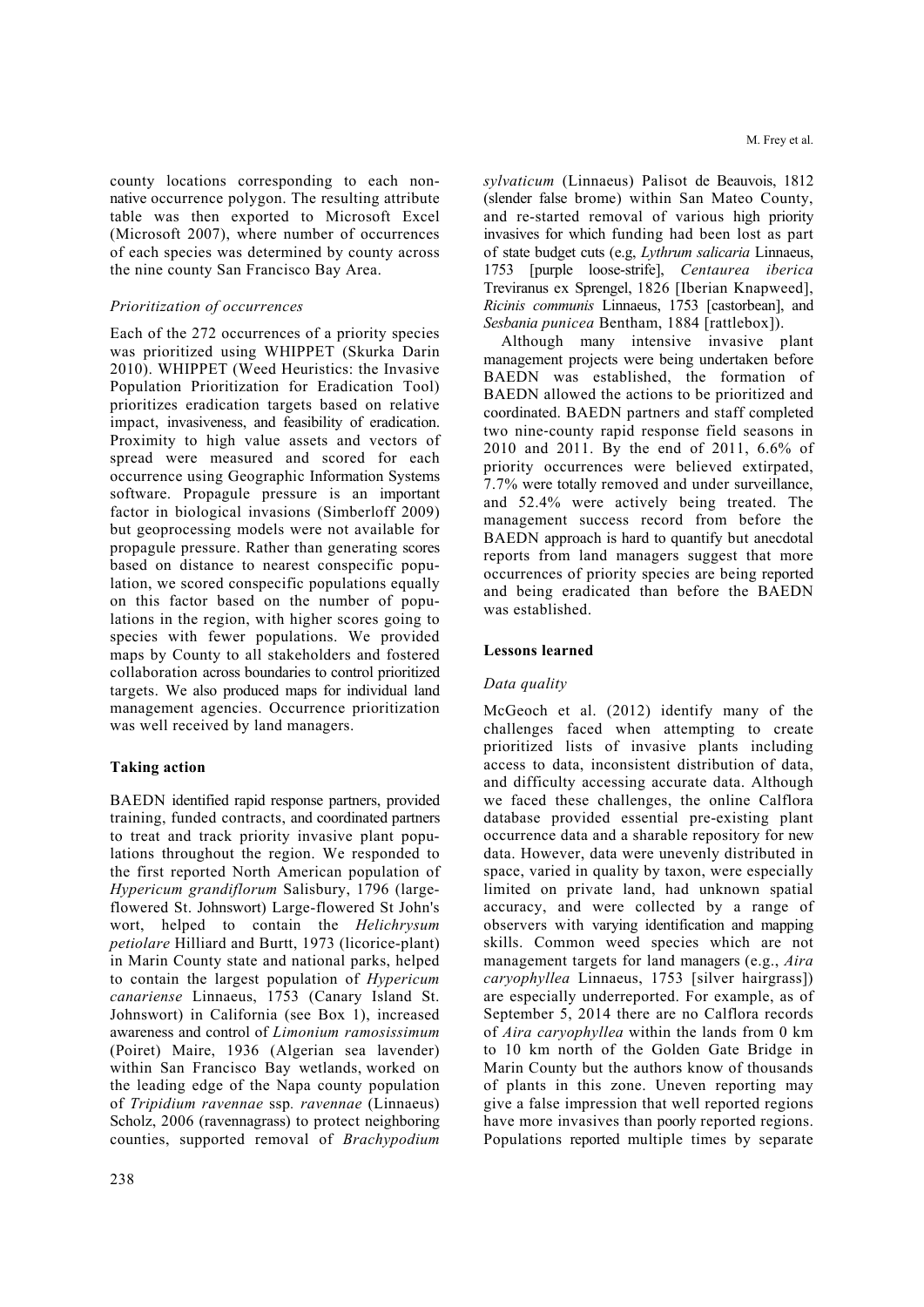county locations corresponding to each nonnative occurrence polygon. The resulting attribute table was then exported to Microsoft Excel (Microsoft 2007), where number of occurrences of each species was determined by county across the nine county San Francisco Bay Area.

### *Prioritization of occurrences*

Each of the 272 occurrences of a priority species was prioritized using WHIPPET (Skurka Darin 2010). WHIPPET (Weed Heuristics: the Invasive Population Prioritization for Eradication Tool) prioritizes eradication targets based on relative impact, invasiveness, and feasibility of eradication. Proximity to high value assets and vectors of spread were measured and scored for each occurrence using Geographic Information Systems software. Propagule pressure is an important factor in biological invasions (Simberloff 2009) but geoprocessing models were not available for propagule pressure. Rather than generating scores based on distance to nearest conspecific population, we scored conspecific populations equally on this factor based on the number of populations in the region, with higher scores going to species with fewer populations. We provided maps by County to all stakeholders and fostered collaboration across boundaries to control prioritized targets. We also produced maps for individual land management agencies. Occurrence prioritization was well received by land managers.

# **Taking action**

BAEDN identified rapid response partners, provided training, funded contracts, and coordinated partners to treat and track priority invasive plant populations throughout the region. We responded to the first reported North American population of *Hypericum grandiflorum* Salisbury, 1796 (largeflowered St. Johnswort) Large-flowered St John's wort, helped to contain the *Helichrysum petiolare* Hilliard and Burtt, 1973 (licorice-plant) in Marin County state and national parks, helped to contain the largest population of *Hypericum canariense* Linnaeus, 1753 (Canary Island St. Johnswort) in California (see Box 1), increased awareness and control of *Limonium ramosissimum* (Poiret) Maire, 1936 (Algerian sea lavender) within San Francisco Bay wetlands, worked on the leading edge of the Napa county population of *Tripidium ravennae* ssp*. ravennae* (Linnaeus) Scholz, 2006 (ravennagrass) to protect neighboring counties, supported removal of *Brachypodium*  *sylvaticum* (Linnaeus) Palisot de Beauvois, 1812 (slender false brome) within San Mateo County, and re-started removal of various high priority invasives for which funding had been lost as part of state budget cuts (e.g, *Lythrum salicaria* Linnaeus, 1753 [purple loose-strife], *Centaurea iberica*  Treviranus ex Sprengel, 1826 [Iberian Knapweed], *Ricinis communis* Linnaeus, 1753 [castorbean], and *Sesbania punicea* Bentham, 1884 [rattlebox]).

Although many intensive invasive plant management projects were being undertaken before BAEDN was established, the formation of BAEDN allowed the actions to be prioritized and coordinated. BAEDN partners and staff completed two nine‐county rapid response field seasons in 2010 and 2011. By the end of 2011, 6.6% of priority occurrences were believed extirpated, 7.7% were totally removed and under surveillance, and 52.4% were actively being treated. The management success record from before the BAEDN approach is hard to quantify but anecdotal reports from land managers suggest that more occurrences of priority species are being reported and being eradicated than before the BAEDN was established.

# **Lessons learned**

# *Data quality*

McGeoch et al. (2012) identify many of the challenges faced when attempting to create prioritized lists of invasive plants including access to data, inconsistent distribution of data, and difficulty accessing accurate data. Although we faced these challenges, the online Calflora database provided essential pre-existing plant occurrence data and a sharable repository for new data. However, data were unevenly distributed in space, varied in quality by taxon, were especially limited on private land, had unknown spatial accuracy, and were collected by a range of observers with varying identification and mapping skills. Common weed species which are not management targets for land managers (e.g., *Aira caryophyllea* Linnaeus, 1753 [silver hairgrass]) are especially underreported. For example, as of September 5, 2014 there are no Calflora records of *Aira caryophyllea* within the lands from 0 km to 10 km north of the Golden Gate Bridge in Marin County but the authors know of thousands of plants in this zone. Uneven reporting may give a false impression that well reported regions have more invasives than poorly reported regions. Populations reported multiple times by separate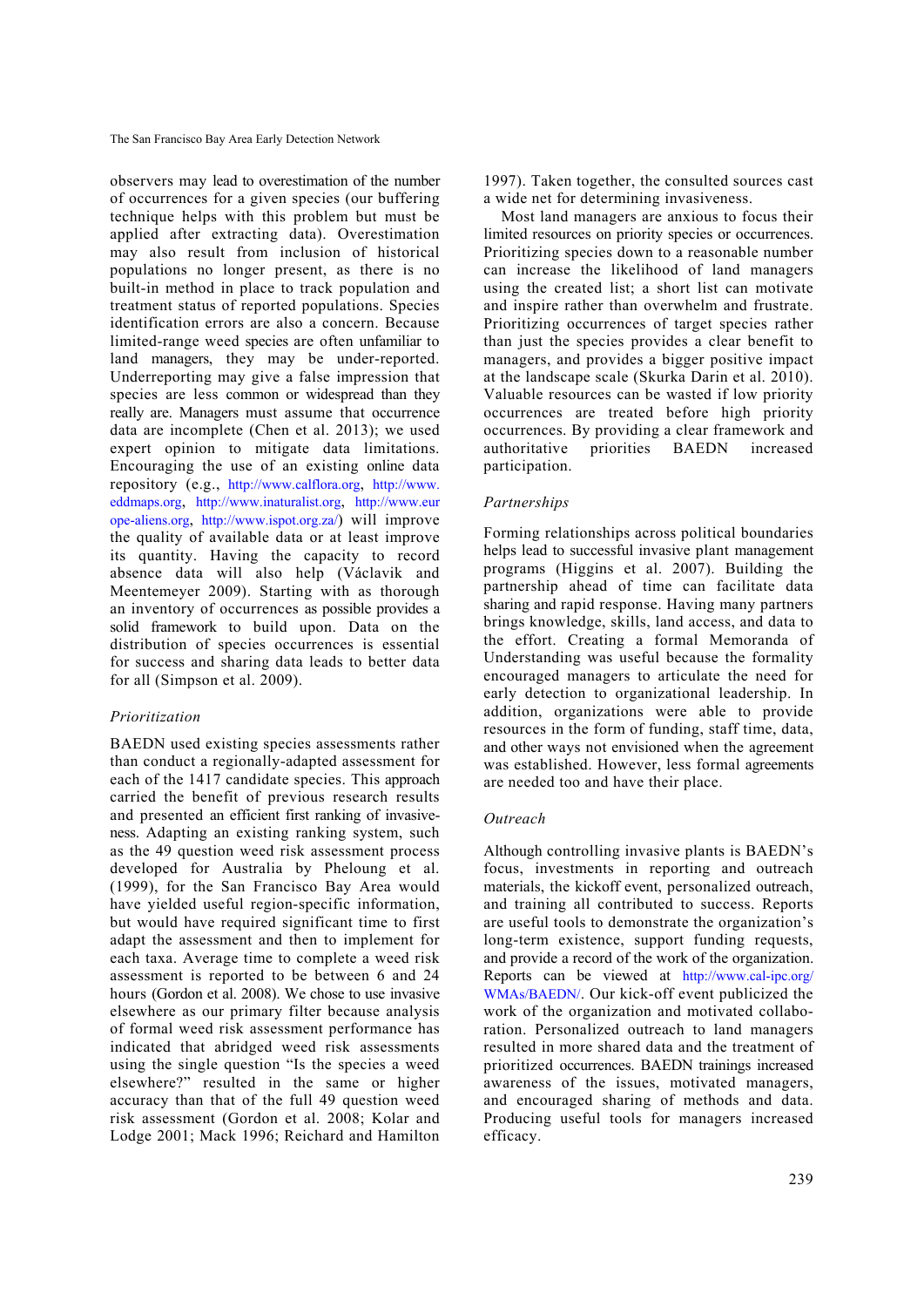observers may lead to overestimation of the number of occurrences for a given species (our buffering technique helps with this problem but must be applied after extracting data). Overestimation may also result from inclusion of historical populations no longer present, as there is no built-in method in place to track population and treatment status of reported populations. Species identification errors are also a concern. Because limited-range weed species are often unfamiliar to land managers, they may be under-reported. Underreporting may give a false impression that species are less common or widespread than they really are. Managers must assume that occurrence data are incomplete (Chen et al. 2013); we used expert opinion to mitigate data limitations. Encouraging the use of an existing online data repository (e.g., http://www.calflora.org, http://www. eddmaps.org, http://www.inaturalist.org, http://www.eur ope-aliens.org, http://www.ispot.org.za/) will improve the quality of available data or at least improve its quantity. Having the capacity to record absence data will also help (Václavik and Meentemeyer 2009). Starting with as thorough an inventory of occurrences as possible provides a solid framework to build upon. Data on the distribution of species occurrences is essential for success and sharing data leads to better data for all (Simpson et al. 2009).

# *Prioritization*

BAEDN used existing species assessments rather than conduct a regionally-adapted assessment for each of the 1417 candidate species. This approach carried the benefit of previous research results and presented an efficient first ranking of invasiveness. Adapting an existing ranking system, such as the 49 question weed risk assessment process developed for Australia by Pheloung et al. (1999), for the San Francisco Bay Area would have yielded useful region-specific information, but would have required significant time to first adapt the assessment and then to implement for each taxa. Average time to complete a weed risk assessment is reported to be between 6 and 24 hours (Gordon et al. 2008). We chose to use invasive elsewhere as our primary filter because analysis of formal weed risk assessment performance has indicated that abridged weed risk assessments using the single question "Is the species a weed elsewhere?" resulted in the same or higher accuracy than that of the full 49 question weed risk assessment (Gordon et al. 2008; Kolar and Lodge 2001; Mack 1996; Reichard and Hamilton

1997). Taken together, the consulted sources cast a wide net for determining invasiveness.

Most land managers are anxious to focus their limited resources on priority species or occurrences. Prioritizing species down to a reasonable number can increase the likelihood of land managers using the created list; a short list can motivate and inspire rather than overwhelm and frustrate. Prioritizing occurrences of target species rather than just the species provides a clear benefit to managers, and provides a bigger positive impact at the landscape scale (Skurka Darin et al. 2010). Valuable resources can be wasted if low priority occurrences are treated before high priority occurrences. By providing a clear framework and authoritative priorities BAEDN increased participation.

# *Partnerships*

Forming relationships across political boundaries helps lead to successful invasive plant management programs (Higgins et al. 2007). Building the partnership ahead of time can facilitate data sharing and rapid response. Having many partners brings knowledge, skills, land access, and data to the effort. Creating a formal Memoranda of Understanding was useful because the formality encouraged managers to articulate the need for early detection to organizational leadership. In addition, organizations were able to provide resources in the form of funding, staff time, data, and other ways not envisioned when the agreement was established. However, less formal agreements are needed too and have their place.

# *Outreach*

Although controlling invasive plants is BAEDN's focus, investments in reporting and outreach materials, the kickoff event, personalized outreach, and training all contributed to success. Reports are useful tools to demonstrate the organization's long-term existence, support funding requests, and provide a record of the work of the organization. Reports can be viewed at http://www.cal-ipc.org/ WMAs/BAEDN/. Our kick-off event publicized the work of the organization and motivated collaboration. Personalized outreach to land managers resulted in more shared data and the treatment of prioritized occurrences. BAEDN trainings increased awareness of the issues, motivated managers, and encouraged sharing of methods and data. Producing useful tools for managers increased efficacy.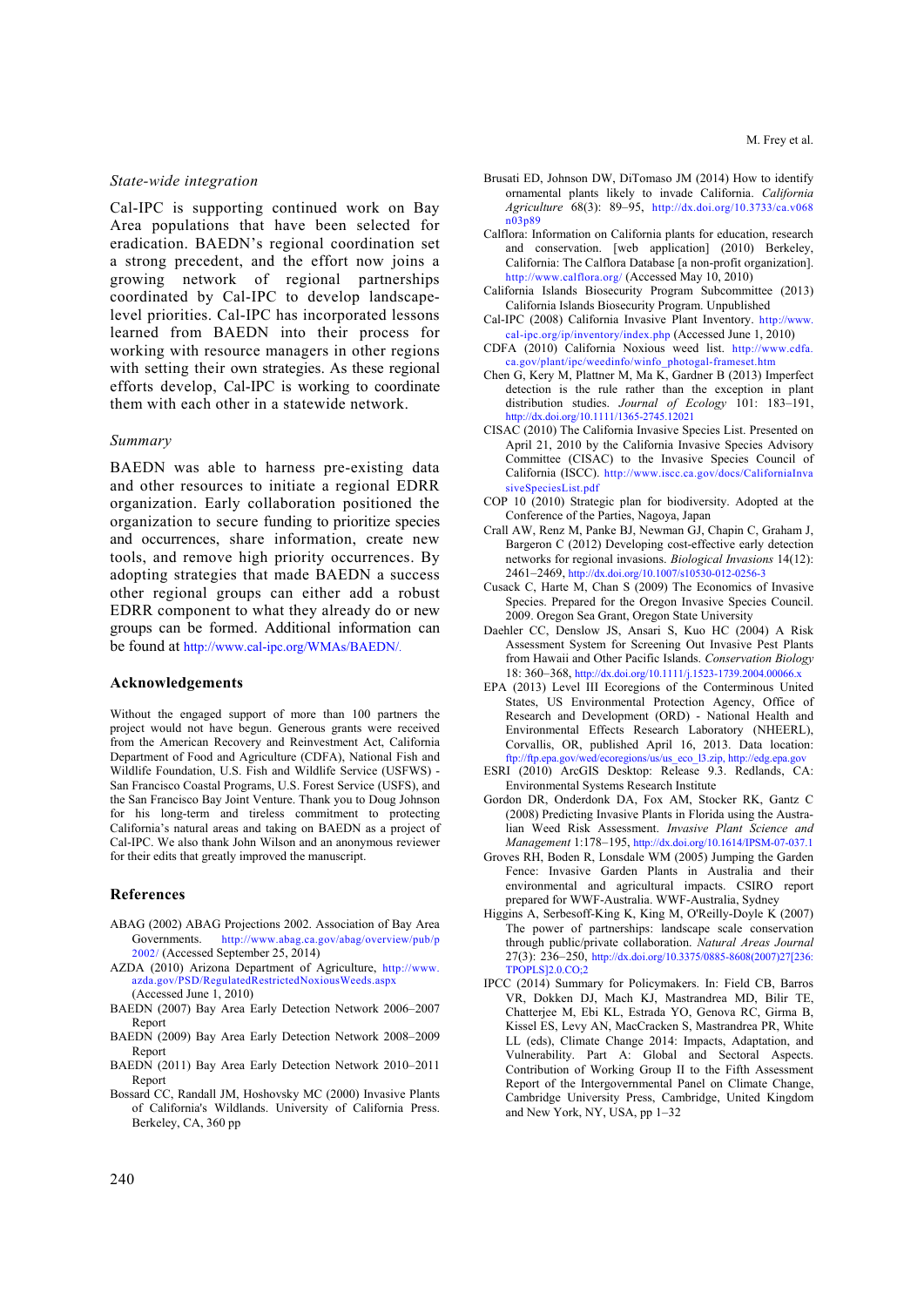#### *State-wide integration*

Cal-IPC is supporting continued work on Bay Area populations that have been selected for eradication. BAEDN's regional coordination set a strong precedent, and the effort now joins a growing network of regional partnerships coordinated by Cal-IPC to develop landscapelevel priorities. Cal-IPC has incorporated lessons learned from BAEDN into their process for working with resource managers in other regions with setting their own strategies. As these regional efforts develop, Cal-IPC is working to coordinate them with each other in a statewide network.

### *Summary*

BAEDN was able to harness pre-existing data and other resources to initiate a regional EDRR organization. Early collaboration positioned the organization to secure funding to prioritize species and occurrences, share information, create new tools, and remove high priority occurrences. By adopting strategies that made BAEDN a success other regional groups can either add a robust EDRR component to what they already do or new groups can be formed. Additional information can be found at http://www.cal-ipc.org/WMAs/BAEDN/.

#### **Acknowledgements**

Without the engaged support of more than 100 partners the project would not have begun. Generous grants were received from the American Recovery and Reinvestment Act, California Department of Food and Agriculture (CDFA), National Fish and Wildlife Foundation, U.S. Fish and Wildlife Service (USFWS) - San Francisco Coastal Programs, U.S. Forest Service (USFS), and the San Francisco Bay Joint Venture. Thank you to Doug Johnson for his long-term and tireless commitment to protecting California's natural areas and taking on BAEDN as a project of Cal-IPC. We also thank John Wilson and an anonymous reviewer for their edits that greatly improved the manuscript.

#### **References**

- ABAG (2002) ABAG Projections 2002. Association of Bay Area<br>Governments. http://www.abag.ca.gov/abag/overview/pub/p http://www.abag.ca.gov/abag/overview/pub/p 2002/ (Accessed September 25, 2014)
- AZDA (2010) Arizona Department of Agriculture, http://www. azda.gov/PSD/RegulatedRestrictedNoxiousWeeds.aspx (Accessed June 1, 2010)
- BAEDN (2007) Bay Area Early Detection Network 2006–2007 Report
- BAEDN (2009) Bay Area Early Detection Network 2008–2009 Report
- BAEDN (2011) Bay Area Early Detection Network 2010–2011 Report
- Bossard CC, Randall JM, Hoshovsky MC (2000) Invasive Plants of California's Wildlands. University of California Press. Berkeley, CA, 360 pp
- Brusati ED, Johnson DW, DiTomaso JM (2014) How to identify ornamental plants likely to invade California. *California Agriculture* 68(3): 89–95, http://dx.doi.org/10.3733/ca.v068 n03p89
- Calflora: Information on California plants for education, research and conservation. [web application] (2010) Berkeley, California: The Calflora Database [a non-profit organization]. http://www.calflora.org/ (Accessed May 10, 2010)
- California Islands Biosecurity Program Subcommittee (2013) California Islands Biosecurity Program. Unpublished
- Cal-IPC (2008) California Invasive Plant Inventory. http://www. cal-ipc.org/ip/inventory/index.php (Accessed June 1, 2010)
- CDFA (2010) California Noxious weed list. http://www.cdfa. ca.gov/plant/ipc/weedinfo/winfo\_photogal-frameset.htm
- Chen G, Kery M, Plattner M, Ma K, Gardner B (2013) Imperfect detection is the rule rather than the exception in plant distribution studies. *Journal of Ecology* 101: 183–191, http://dx.doi.org/10.1111/1365-2745.12021
- CISAC (2010) The California Invasive Species List. Presented on April 21, 2010 by the California Invasive Species Advisory Committee (CISAC) to the Invasive Species Council of California (ISCC). http://www.iscc.ca.gov/docs/CaliforniaInva siveSpeciesList.pdf
- COP 10 (2010) Strategic plan for biodiversity. Adopted at the Conference of the Parties, Nagoya, Japan
- Crall AW, Renz M, Panke BJ, Newman GJ, Chapin C, Graham J, Bargeron C (2012) Developing cost-effective early detection networks for regional invasions. *Biological Invasions* 14(12): 2461–2469, http://dx.doi.org/10.1007/s10530-012-0256-3
- Cusack C, Harte M, Chan S (2009) The Economics of Invasive Species. Prepared for the Oregon Invasive Species Council. 2009. Oregon Sea Grant, Oregon State University
- Daehler CC, Denslow JS, Ansari S, Kuo HC (2004) A Risk Assessment System for Screening Out Invasive Pest Plants from Hawaii and Other Pacific Islands. *Conservation Biology*  18: 360–368, http://dx.doi.org/10.1111/j.1523-1739.2004.00066.x
- EPA (2013) Level III Ecoregions of the Conterminous United States, US Environmental Protection Agency, Office of Research and Development (ORD) - National Health and Environmental Effects Research Laboratory (NHEERL), Corvallis, OR, published April 16, 2013. Data location: ftp://ftp.epa.gov/wed/ecoregions/us/us\_eco\_l3.zip, http://edg.epa.gov
- ESRI (2010) ArcGIS Desktop: Release 9.3. Redlands, CA: Environmental Systems Research Institute
- Gordon DR, Onderdonk DA, Fox AM, Stocker RK, Gantz C (2008) Predicting Invasive Plants in Florida using the Australian Weed Risk Assessment. *Invasive Plant Science and Management* 1:178–195, http://dx.doi.org/10.1614/IPSM-07-037.1
- Groves RH, Boden R, Lonsdale WM (2005) Jumping the Garden Fence: Invasive Garden Plants in Australia and their environmental and agricultural impacts. CSIRO report prepared for WWF-Australia. WWF-Australia, Sydney
- Higgins A, Serbesoff-King K, King M, O'Reilly-Doyle K (2007) The power of partnerships: landscape scale conservation through public/private collaboration. *Natural Areas Journal*  27(3): 236–250, http://dx.doi.org/10.3375/0885-8608(2007)27[236: TPOPLS]2.0.CO;2
- IPCC (2014) Summary for Policymakers. In: Field CB, Barros VR, Dokken DJ, Mach KJ, Mastrandrea MD, Bilir TE, Chatterjee M, Ebi KL, Estrada YO, Genova RC, Girma B, Kissel ES, Levy AN, MacCracken S, Mastrandrea PR, White LL (eds), Climate Change 2014: Impacts, Adaptation, and Vulnerability. Part A: Global and Sectoral Aspects. Contribution of Working Group II to the Fifth Assessment Report of the Intergovernmental Panel on Climate Change, Cambridge University Press, Cambridge, United Kingdom and New York, NY, USA, pp 1–32